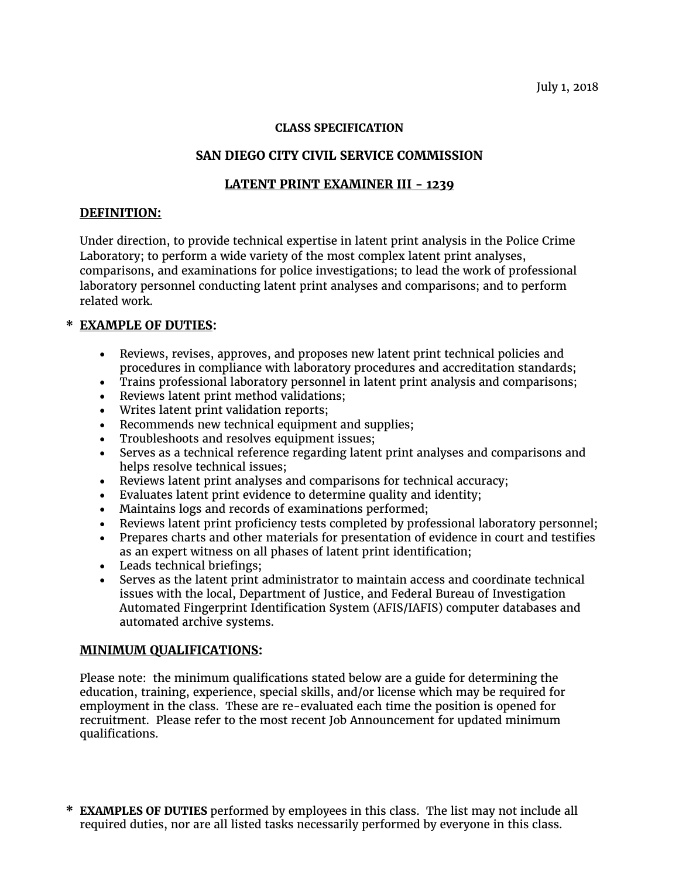#### **CLASS SPECIFICATION**

# **SAN DIEGO CITY CIVIL SERVICE COMMISSION**

### **LATENT PRINT EXAMINER III - 1239**

### **DEFINITION:**

Under direction, to provide technical expertise in latent print analysis in the Police Crime Laboratory; to perform a wide variety of the most complex latent print analyses, comparisons, and examinations for police investigations; to lead the work of professional laboratory personnel conducting latent print analyses and comparisons; and to perform related work.

# **\* EXAMPLE OF DUTIES:**

- Reviews, revises, approves, and proposes new latent print technical policies and procedures in compliance with laboratory procedures and accreditation standards;
- Trains professional laboratory personnel in latent print analysis and comparisons;
- Reviews latent print method validations;
- Writes latent print validation reports;
- Recommends new technical equipment and supplies;
- Troubleshoots and resolves equipment issues;
- Serves as a technical reference regarding latent print analyses and comparisons and helps resolve technical issues;
- Reviews latent print analyses and comparisons for technical accuracy;
- Evaluates latent print evidence to determine quality and identity;
- Maintains logs and records of examinations performed;
- Reviews latent print proficiency tests completed by professional laboratory personnel;
- Prepares charts and other materials for presentation of evidence in court and testifies as an expert witness on all phases of latent print identification;
- Leads technical briefings;
- Serves as the latent print administrator to maintain access and coordinate technical issues with the local, Department of Justice, and Federal Bureau of Investigation Automated Fingerprint Identification System (AFIS/IAFIS) computer databases and automated archive systems.

### **MINIMUM QUALIFICATIONS:**

Please note: the minimum qualifications stated below are a guide for determining the education, training, experience, special skills, and/or license which may be required for employment in the class. These are re-evaluated each time the position is opened for recruitment. Please refer to the most recent Job Announcement for updated minimum qualifications.

**\* EXAMPLES OF DUTIES** performed by employees in this class. The list may not include all required duties, nor are all listed tasks necessarily performed by everyone in this class.